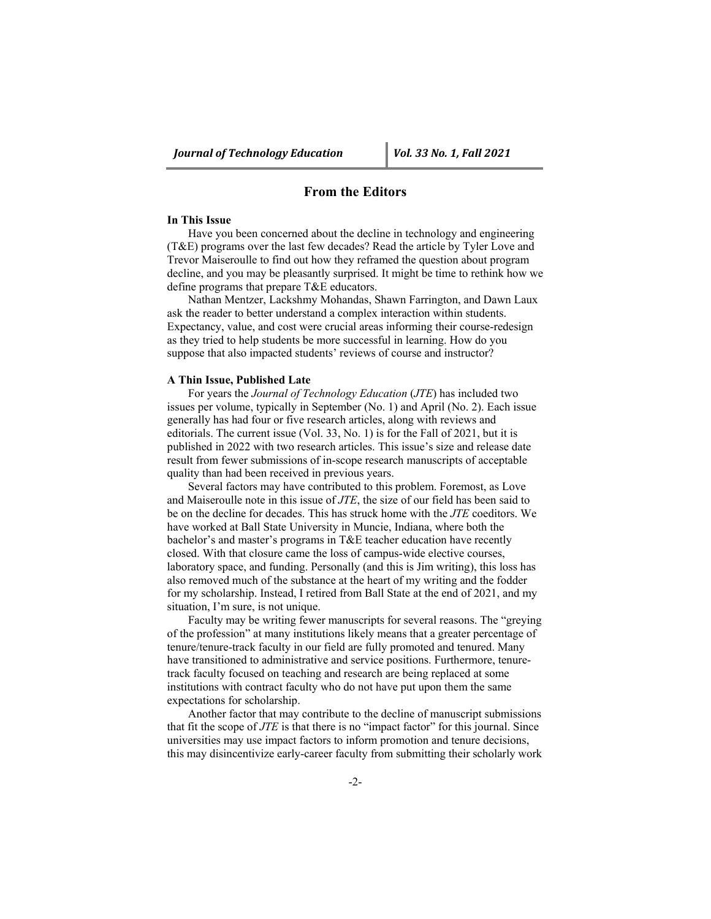# **From the Editors**

#### **In This Issue**

Have you been concerned about the decline in technology and engineering (T&E) programs over the last few decades? Read the article by Tyler Love and Trevor Maiseroulle to find out how they reframed the question about program decline, and you may be pleasantly surprised. It might be time to rethink how we define programs that prepare T&E educators.

Nathan Mentzer, Lackshmy Mohandas, Shawn Farrington, and Dawn Laux ask the reader to better understand a complex interaction within students. Expectancy, value, and cost were crucial areas informing their course-redesign as they tried to help students be more successful in learning. How do you suppose that also impacted students' reviews of course and instructor?

### **A Thin Issue, Published Late**

For years the *Journal of Technology Education* (*JTE*) has included two issues per volume, typically in September (No. 1) and April (No. 2). Each issue generally has had four or five research articles, along with reviews and editorials. The current issue (Vol. 33, No. 1) is for the Fall of 2021, but it is published in 2022 with two research articles. This issue's size and release date result from fewer submissions of in-scope research manuscripts of acceptable quality than had been received in previous years.

Several factors may have contributed to this problem. Foremost, as Love and Maiseroulle note in this issue of *JTE*, the size of our field has been said to be on the decline for decades. This has struck home with the *JTE* coeditors. We have worked at Ball State University in Muncie, Indiana, where both the bachelor's and master's programs in T&E teacher education have recently closed. With that closure came the loss of campus-wide elective courses, laboratory space, and funding. Personally (and this is Jim writing), this loss has also removed much of the substance at the heart of my writing and the fodder for my scholarship. Instead, I retired from Ball State at the end of 2021, and my situation, I'm sure, is not unique.

Faculty may be writing fewer manuscripts for several reasons. The "greying of the profession" at many institutions likely means that a greater percentage of tenure/tenure-track faculty in our field are fully promoted and tenured. Many have transitioned to administrative and service positions. Furthermore, tenuretrack faculty focused on teaching and research are being replaced at some institutions with contract faculty who do not have put upon them the same expectations for scholarship.

Another factor that may contribute to the decline of manuscript submissions that fit the scope of *JTE* is that there is no "impact factor" for this journal. Since universities may use impact factors to inform promotion and tenure decisions, this may disincentivize early-career faculty from submitting their scholarly work